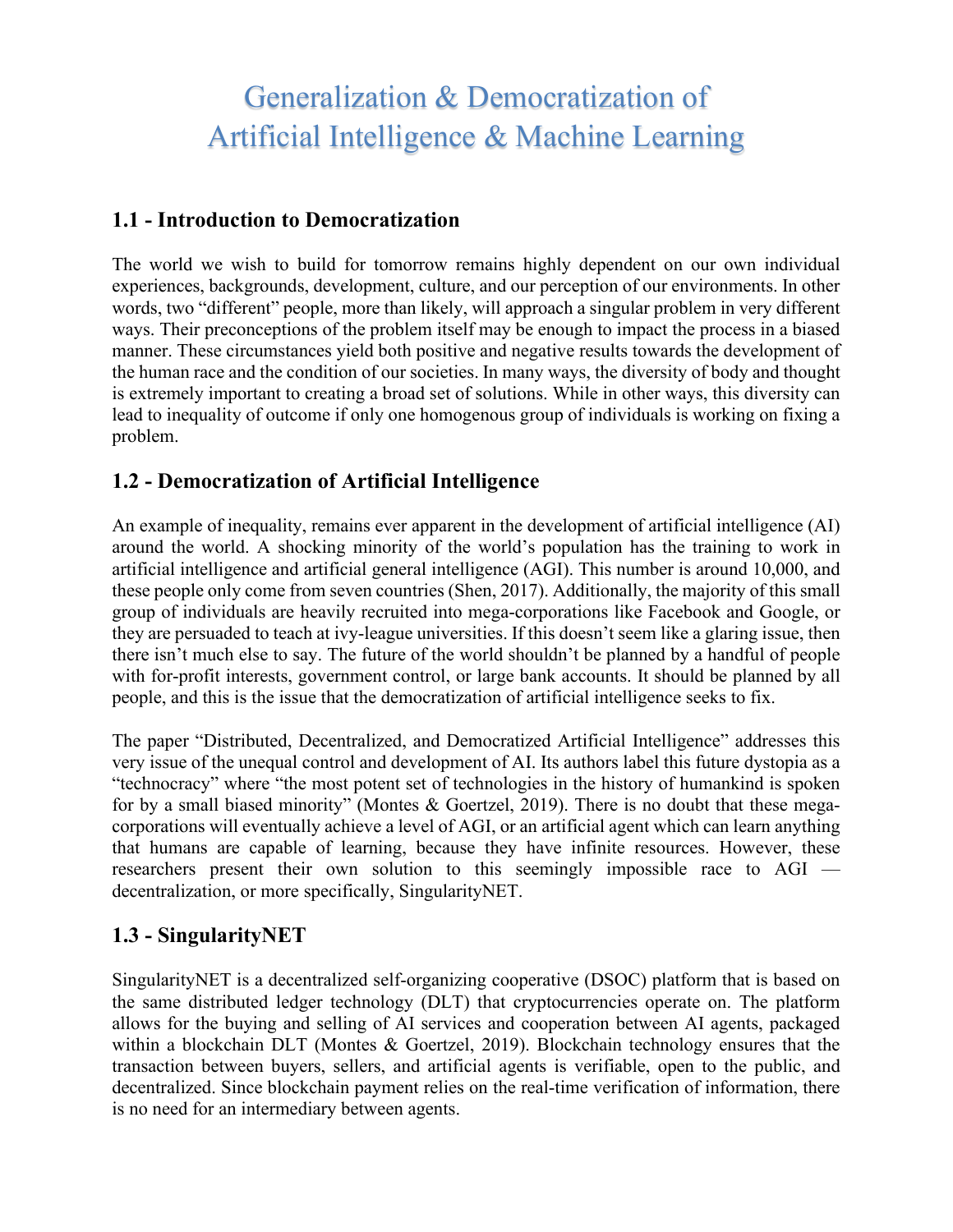# Generalization & Democratization of Artificial Intelligence & Machine Learning

#### **1.1 - Introduction to Democratization**

The world we wish to build for tomorrow remains highly dependent on our own individual experiences, backgrounds, development, culture, and our perception of our environments. In other words, two "different" people, more than likely, will approach a singular problem in very different ways. Their preconceptions of the problem itself may be enough to impact the process in a biased manner. These circumstances yield both positive and negative results towards the development of the human race and the condition of our societies. In many ways, the diversity of body and thought is extremely important to creating a broad set of solutions. While in other ways, this diversity can lead to inequality of outcome if only one homogenous group of individuals is working on fixing a problem.

# **1.2 - Democratization of Artificial Intelligence**

An example of inequality, remains ever apparent in the development of artificial intelligence (AI) around the world. A shocking minority of the world's population has the training to work in artificial intelligence and artificial general intelligence (AGI). This number is around 10,000, and these people only come from seven countries (Shen, 2017). Additionally, the majority of this small group of individuals are heavily recruited into mega-corporations like Facebook and Google, or they are persuaded to teach at ivy-league universities. If this doesn't seem like a glaring issue, then there isn't much else to say. The future of the world shouldn't be planned by a handful of people with for-profit interests, government control, or large bank accounts. It should be planned by all people, and this is the issue that the democratization of artificial intelligence seeks to fix.

The paper "Distributed, Decentralized, and Democratized Artificial Intelligence" addresses this very issue of the unequal control and development of AI. Its authors label this future dystopia as a "technocracy" where "the most potent set of technologies in the history of humankind is spoken for by a small biased minority" (Montes & Goertzel, 2019). There is no doubt that these megacorporations will eventually achieve a level of AGI, or an artificial agent which can learn anything that humans are capable of learning, because they have infinite resources. However, these researchers present their own solution to this seemingly impossible race to AGI decentralization, or more specifically, SingularityNET.

# **1.3 - SingularityNET**

SingularityNET is a decentralized self-organizing cooperative (DSOC) platform that is based on the same distributed ledger technology (DLT) that cryptocurrencies operate on. The platform allows for the buying and selling of AI services and cooperation between AI agents, packaged within a blockchain DLT (Montes & Goertzel, 2019). Blockchain technology ensures that the transaction between buyers, sellers, and artificial agents is verifiable, open to the public, and decentralized. Since blockchain payment relies on the real-time verification of information, there is no need for an intermediary between agents.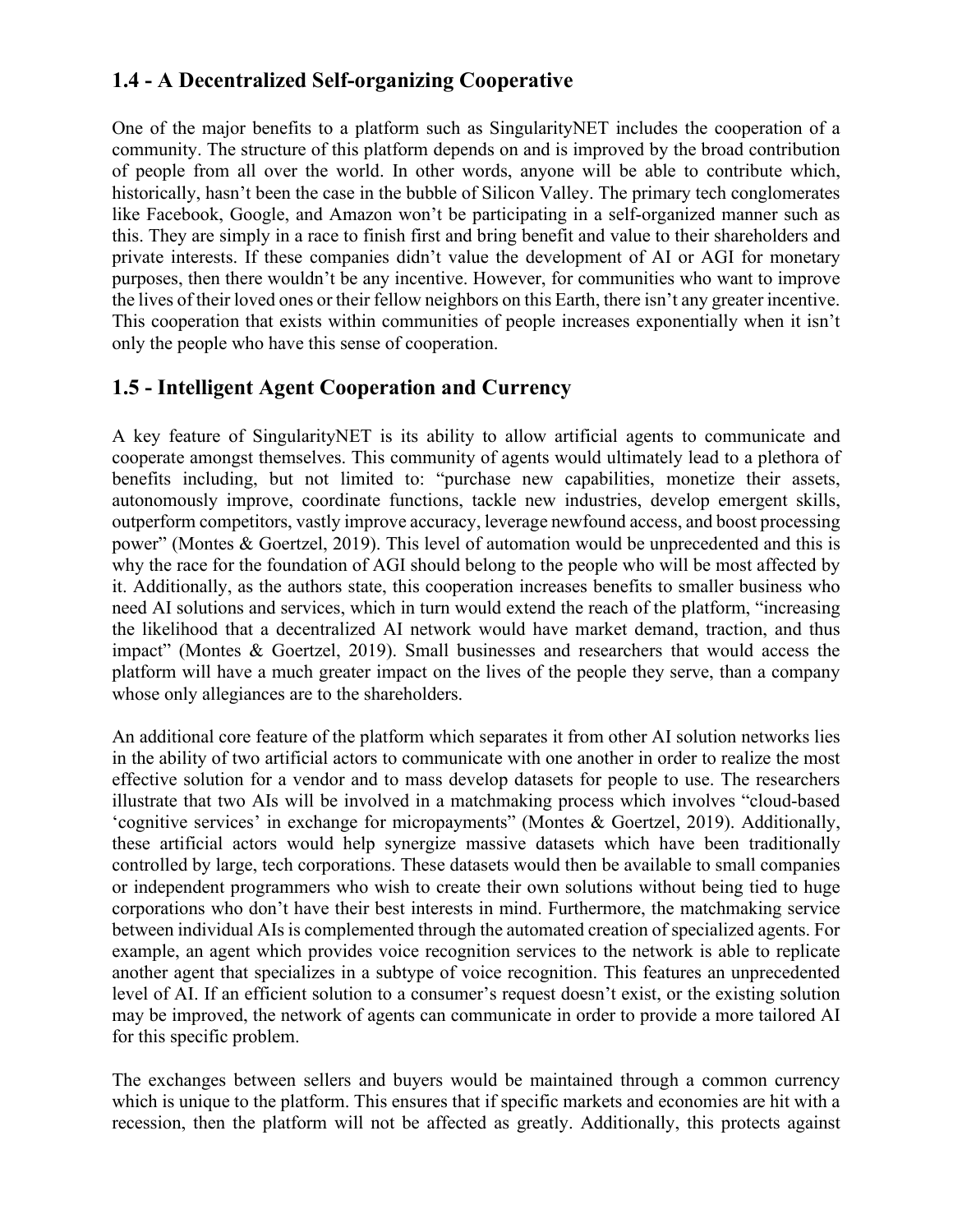# **1.4 - A Decentralized Self-organizing Cooperative**

One of the major benefits to a platform such as SingularityNET includes the cooperation of a community. The structure of this platform depends on and is improved by the broad contribution of people from all over the world. In other words, anyone will be able to contribute which, historically, hasn't been the case in the bubble of Silicon Valley. The primary tech conglomerates like Facebook, Google, and Amazon won't be participating in a self-organized manner such as this. They are simply in a race to finish first and bring benefit and value to their shareholders and private interests. If these companies didn't value the development of AI or AGI for monetary purposes, then there wouldn't be any incentive. However, for communities who want to improve the lives of their loved ones or their fellow neighbors on this Earth, there isn't any greater incentive. This cooperation that exists within communities of people increases exponentially when it isn't only the people who have this sense of cooperation.

## **1.5 - Intelligent Agent Cooperation and Currency**

A key feature of SingularityNET is its ability to allow artificial agents to communicate and cooperate amongst themselves. This community of agents would ultimately lead to a plethora of benefits including, but not limited to: "purchase new capabilities, monetize their assets, autonomously improve, coordinate functions, tackle new industries, develop emergent skills, outperform competitors, vastly improve accuracy, leverage newfound access, and boost processing power" (Montes & Goertzel, 2019). This level of automation would be unprecedented and this is why the race for the foundation of AGI should belong to the people who will be most affected by it. Additionally, as the authors state, this cooperation increases benefits to smaller business who need AI solutions and services, which in turn would extend the reach of the platform, "increasing the likelihood that a decentralized AI network would have market demand, traction, and thus impact" (Montes & Goertzel, 2019). Small businesses and researchers that would access the platform will have a much greater impact on the lives of the people they serve, than a company whose only allegiances are to the shareholders.

An additional core feature of the platform which separates it from other AI solution networks lies in the ability of two artificial actors to communicate with one another in order to realize the most effective solution for a vendor and to mass develop datasets for people to use. The researchers illustrate that two AIs will be involved in a matchmaking process which involves "cloud-based 'cognitive services' in exchange for micropayments" (Montes & Goertzel, 2019). Additionally, these artificial actors would help synergize massive datasets which have been traditionally controlled by large, tech corporations. These datasets would then be available to small companies or independent programmers who wish to create their own solutions without being tied to huge corporations who don't have their best interests in mind. Furthermore, the matchmaking service between individual AIs is complemented through the automated creation of specialized agents. For example, an agent which provides voice recognition services to the network is able to replicate another agent that specializes in a subtype of voice recognition. This features an unprecedented level of AI. If an efficient solution to a consumer's request doesn't exist, or the existing solution may be improved, the network of agents can communicate in order to provide a more tailored AI for this specific problem.

The exchanges between sellers and buyers would be maintained through a common currency which is unique to the platform. This ensures that if specific markets and economies are hit with a recession, then the platform will not be affected as greatly. Additionally, this protects against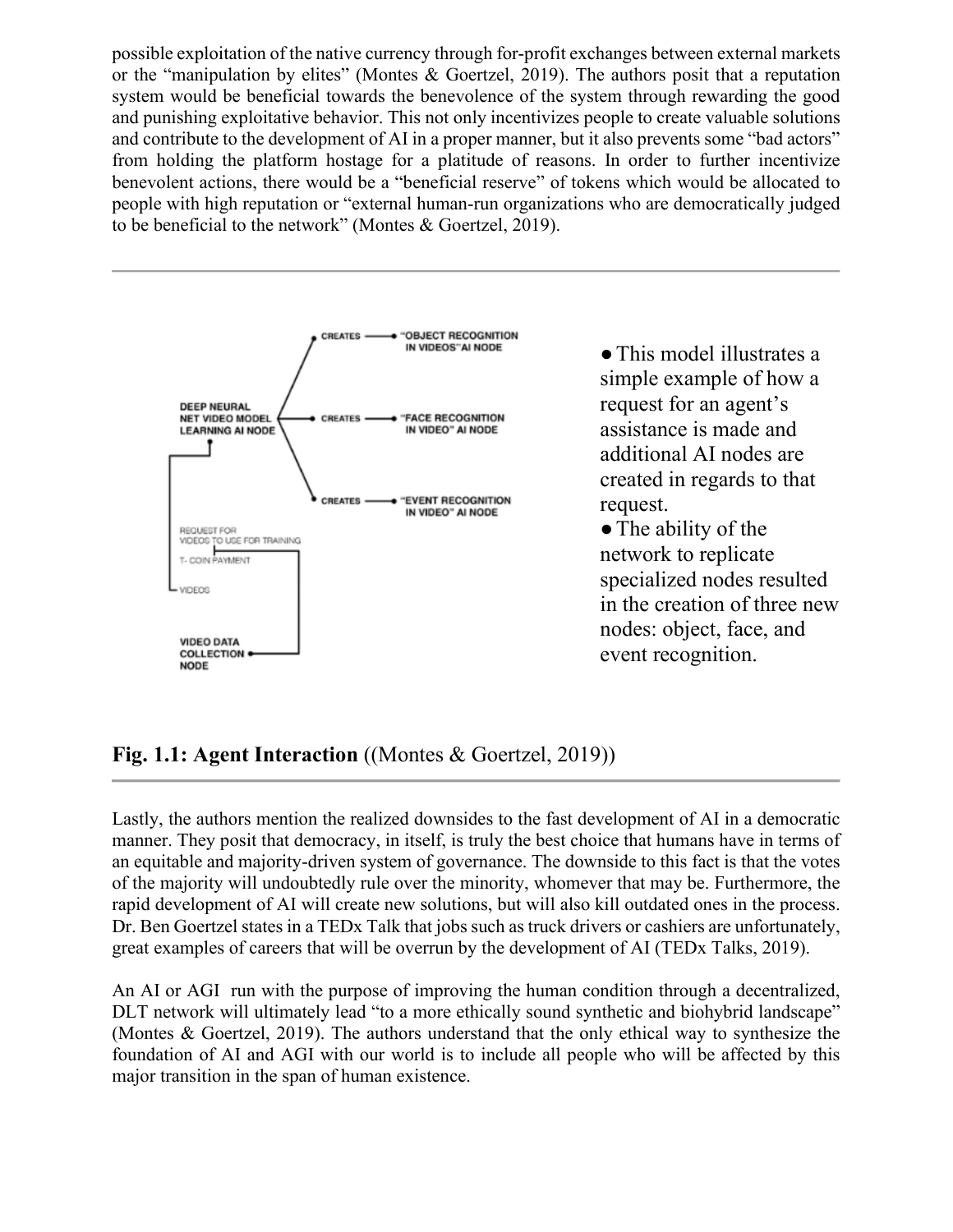possible exploitation of the native currency through for-profit exchanges between external markets or the "manipulation by elites" (Montes & Goertzel, 2019). The authors posit that a reputation system would be beneficial towards the benevolence of the system through rewarding the good and punishing exploitative behavior. This not only incentivizes people to create valuable solutions and contribute to the development of AI in a proper manner, but it also prevents some "bad actors" from holding the platform hostage for a platitude of reasons. In order to further incentivize benevolent actions, there would be a "beneficial reserve" of tokens which would be allocated to people with high reputation or "external human-run organizations who are democratically judged to be beneficial to the network" (Montes & Goertzel, 2019).



●This model illustrates a simple example of how a request for an agent's assistance is made and additional AI nodes are created in regards to that request.

• The ability of the network to replicate specialized nodes resulted in the creation of three new nodes: object, face, and event recognition.

**Fig. 1.1: Agent Interaction** ((Montes & Goertzel, 2019))

Lastly, the authors mention the realized downsides to the fast development of AI in a democratic manner. They posit that democracy, in itself, is truly the best choice that humans have in terms of an equitable and majority-driven system of governance. The downside to this fact is that the votes of the majority will undoubtedly rule over the minority, whomever that may be. Furthermore, the rapid development of AI will create new solutions, but will also kill outdated ones in the process. Dr. Ben Goertzel states in a TEDx Talk that jobs such as truck drivers or cashiers are unfortunately, great examples of careers that will be overrun by the development of AI (TEDx Talks, 2019).

An AI or AGI run with the purpose of improving the human condition through a decentralized, DLT network will ultimately lead "to a more ethically sound synthetic and biohybrid landscape" (Montes & Goertzel, 2019). The authors understand that the only ethical way to synthesize the foundation of AI and AGI with our world is to include all people who will be affected by this major transition in the span of human existence.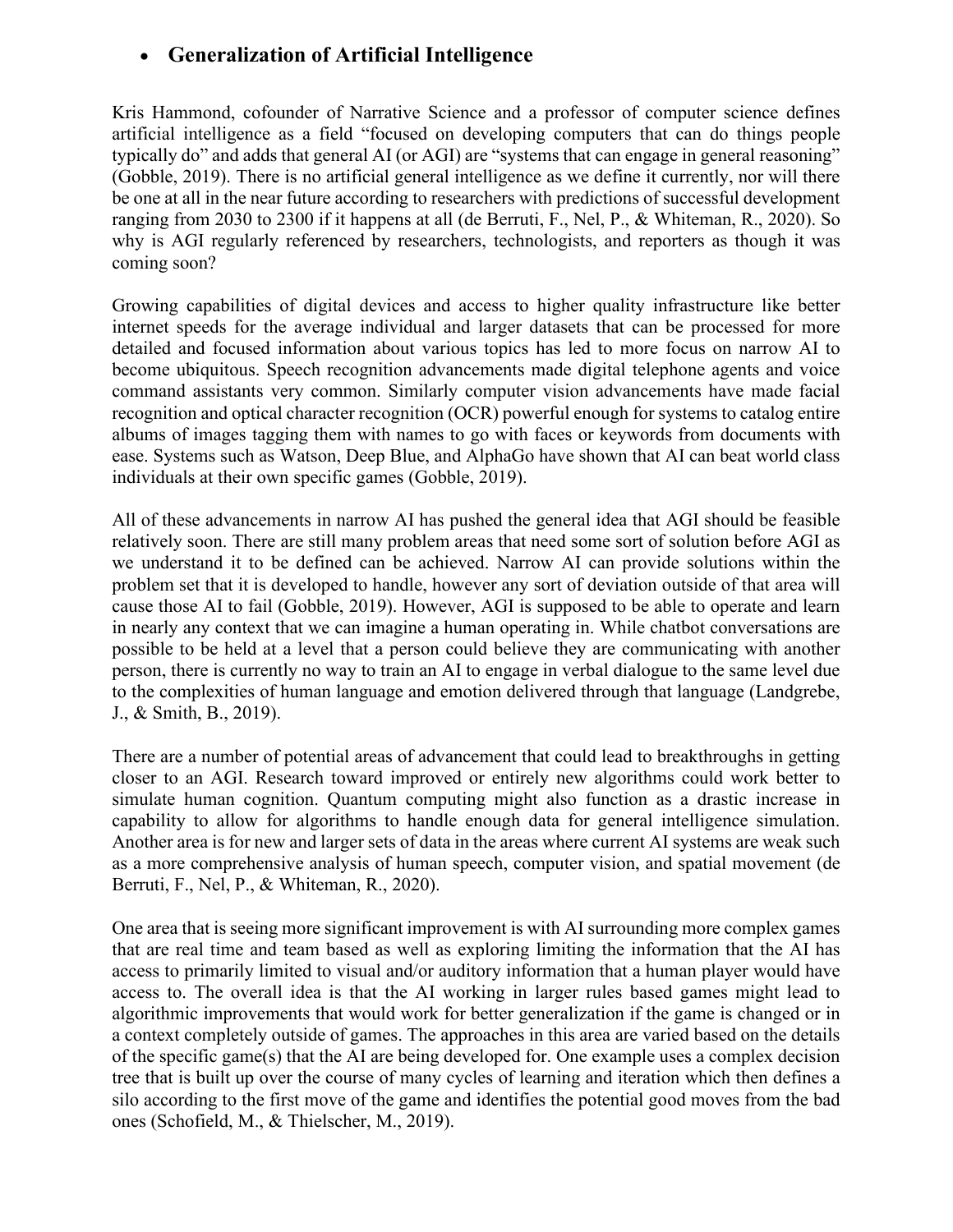# • **Generalization of Artificial Intelligence**

Kris Hammond, cofounder of Narrative Science and a professor of computer science defines artificial intelligence as a field "focused on developing computers that can do things people typically do" and adds that general AI (or AGI) are "systems that can engage in general reasoning" (Gobble, 2019). There is no artificial general intelligence as we define it currently, nor will there be one at all in the near future according to researchers with predictions of successful development ranging from 2030 to 2300 if it happens at all (de Berruti, F., Nel, P., & Whiteman, R., 2020). So why is AGI regularly referenced by researchers, technologists, and reporters as though it was coming soon?

Growing capabilities of digital devices and access to higher quality infrastructure like better internet speeds for the average individual and larger datasets that can be processed for more detailed and focused information about various topics has led to more focus on narrow AI to become ubiquitous. Speech recognition advancements made digital telephone agents and voice command assistants very common. Similarly computer vision advancements have made facial recognition and optical character recognition (OCR) powerful enough for systems to catalog entire albums of images tagging them with names to go with faces or keywords from documents with ease. Systems such as Watson, Deep Blue, and AlphaGo have shown that AI can beat world class individuals at their own specific games (Gobble, 2019).

All of these advancements in narrow AI has pushed the general idea that AGI should be feasible relatively soon. There are still many problem areas that need some sort of solution before AGI as we understand it to be defined can be achieved. Narrow AI can provide solutions within the problem set that it is developed to handle, however any sort of deviation outside of that area will cause those AI to fail (Gobble, 2019). However, AGI is supposed to be able to operate and learn in nearly any context that we can imagine a human operating in. While chatbot conversations are possible to be held at a level that a person could believe they are communicating with another person, there is currently no way to train an AI to engage in verbal dialogue to the same level due to the complexities of human language and emotion delivered through that language (Landgrebe, J., & Smith, B., 2019).

There are a number of potential areas of advancement that could lead to breakthroughs in getting closer to an AGI. Research toward improved or entirely new algorithms could work better to simulate human cognition. Quantum computing might also function as a drastic increase in capability to allow for algorithms to handle enough data for general intelligence simulation. Another area is for new and larger sets of data in the areas where current AI systems are weak such as a more comprehensive analysis of human speech, computer vision, and spatial movement (de Berruti, F., Nel, P., & Whiteman, R., 2020).

One area that is seeing more significant improvement is with AI surrounding more complex games that are real time and team based as well as exploring limiting the information that the AI has access to primarily limited to visual and/or auditory information that a human player would have access to. The overall idea is that the AI working in larger rules based games might lead to algorithmic improvements that would work for better generalization if the game is changed or in a context completely outside of games. The approaches in this area are varied based on the details of the specific game(s) that the AI are being developed for. One example uses a complex decision tree that is built up over the course of many cycles of learning and iteration which then defines a silo according to the first move of the game and identifies the potential good moves from the bad ones (Schofield, M., & Thielscher, M., 2019).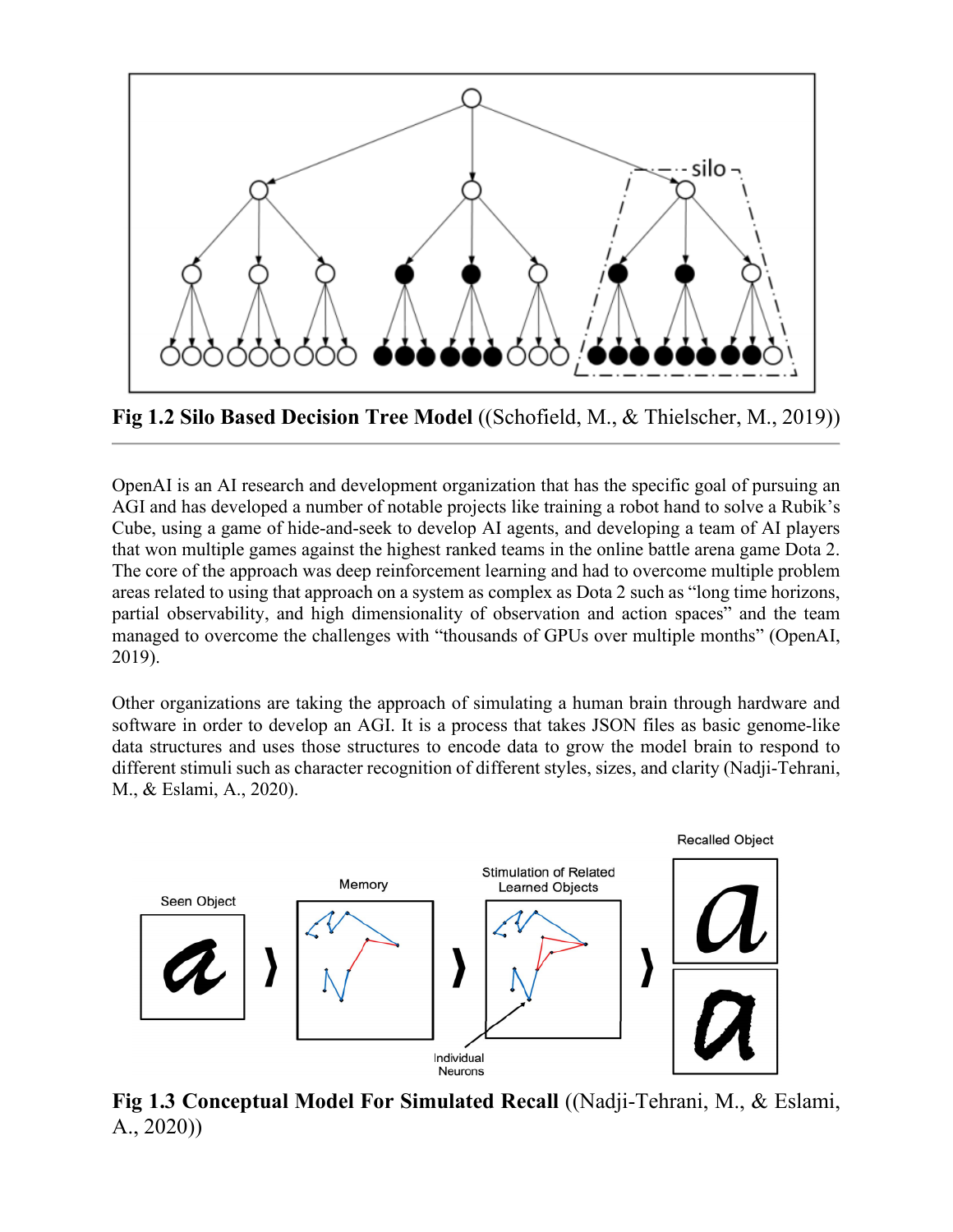

**Fig 1.2 Silo Based Decision Tree Model** ((Schofield, M., & Thielscher, M., 2019))

OpenAI is an AI research and development organization that has the specific goal of pursuing an AGI and has developed a number of notable projects like training a robot hand to solve a Rubik's Cube, using a game of hide-and-seek to develop AI agents, and developing a team of AI players that won multiple games against the highest ranked teams in the online battle arena game Dota 2. The core of the approach was deep reinforcement learning and had to overcome multiple problem areas related to using that approach on a system as complex as Dota 2 such as "long time horizons, partial observability, and high dimensionality of observation and action spaces" and the team managed to overcome the challenges with "thousands of GPUs over multiple months" (OpenAI, 2019).

Other organizations are taking the approach of simulating a human brain through hardware and software in order to develop an AGI. It is a process that takes JSON files as basic genome-like data structures and uses those structures to encode data to grow the model brain to respond to different stimuli such as character recognition of different styles, sizes, and clarity (Nadji-Tehrani, M., & Eslami, A., 2020).



**Fig 1.3 Conceptual Model For Simulated Recall** ((Nadji-Tehrani, M., & Eslami, A., 2020))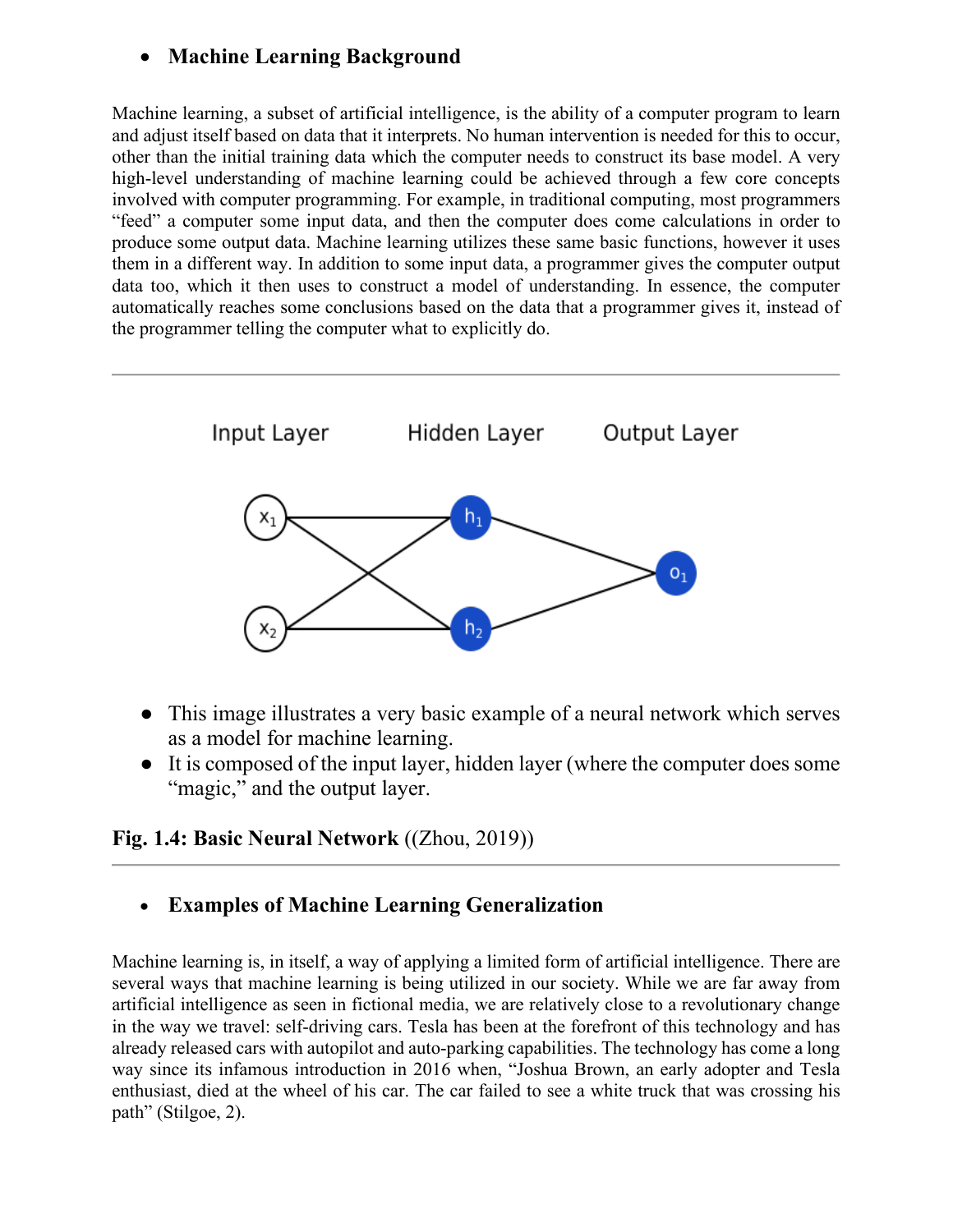## • **Machine Learning Background**

Machine learning, a subset of artificial intelligence, is the ability of a computer program to learn and adjust itself based on data that it interprets. No human intervention is needed for this to occur, other than the initial training data which the computer needs to construct its base model. A very high-level understanding of machine learning could be achieved through a few core concepts involved with computer programming. For example, in traditional computing, most programmers "feed" a computer some input data, and then the computer does come calculations in order to produce some output data. Machine learning utilizes these same basic functions, however it uses them in a different way. In addition to some input data, a programmer gives the computer output data too, which it then uses to construct a model of understanding. In essence, the computer automatically reaches some conclusions based on the data that a programmer gives it, instead of the programmer telling the computer what to explicitly do.



- This image illustrates a very basic example of a neural network which serves as a model for machine learning.
- It is composed of the input layer, hidden layer (where the computer does some "magic," and the output layer.

# **Fig. 1.4: Basic Neural Network** ((Zhou, 2019))

• **Examples of Machine Learning Generalization**

Machine learning is, in itself, a way of applying a limited form of artificial intelligence. There are several ways that machine learning is being utilized in our society. While we are far away from artificial intelligence as seen in fictional media, we are relatively close to a revolutionary change in the way we travel: self-driving cars. Tesla has been at the forefront of this technology and has already released cars with autopilot and auto-parking capabilities. The technology has come a long way since its infamous introduction in 2016 when, "Joshua Brown, an early adopter and Tesla enthusiast, died at the wheel of his car. The car failed to see a white truck that was crossing his path" (Stilgoe, 2).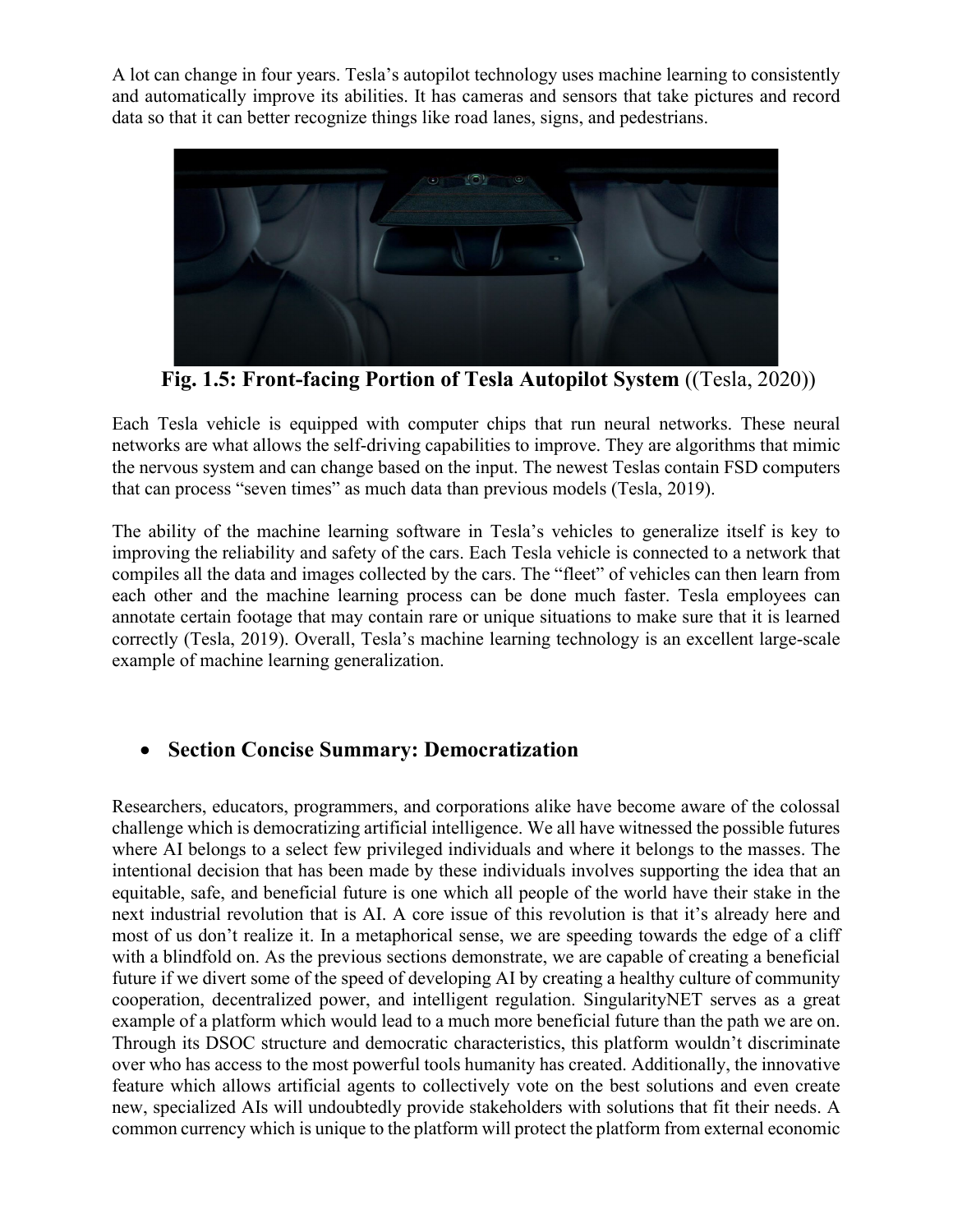A lot can change in four years. Tesla's autopilot technology uses machine learning to consistently and automatically improve its abilities. It has cameras and sensors that take pictures and record data so that it can better recognize things like road lanes, signs, and pedestrians.



 **Fig. 1.5: Front-facing Portion of Tesla Autopilot System** ((Tesla, 2020))

Each Tesla vehicle is equipped with computer chips that run neural networks. These neural networks are what allows the self-driving capabilities to improve. They are algorithms that mimic the nervous system and can change based on the input. The newest Teslas contain FSD computers that can process "seven times" as much data than previous models (Tesla, 2019).

The ability of the machine learning software in Tesla's vehicles to generalize itself is key to improving the reliability and safety of the cars. Each Tesla vehicle is connected to a network that compiles all the data and images collected by the cars. The "fleet" of vehicles can then learn from each other and the machine learning process can be done much faster. Tesla employees can annotate certain footage that may contain rare or unique situations to make sure that it is learned correctly (Tesla, 2019). Overall, Tesla's machine learning technology is an excellent large-scale example of machine learning generalization.

#### • **Section Concise Summary: Democratization**

Researchers, educators, programmers, and corporations alike have become aware of the colossal challenge which is democratizing artificial intelligence. We all have witnessed the possible futures where AI belongs to a select few privileged individuals and where it belongs to the masses. The intentional decision that has been made by these individuals involves supporting the idea that an equitable, safe, and beneficial future is one which all people of the world have their stake in the next industrial revolution that is AI. A core issue of this revolution is that it's already here and most of us don't realize it. In a metaphorical sense, we are speeding towards the edge of a cliff with a blindfold on. As the previous sections demonstrate, we are capable of creating a beneficial future if we divert some of the speed of developing AI by creating a healthy culture of community cooperation, decentralized power, and intelligent regulation. SingularityNET serves as a great example of a platform which would lead to a much more beneficial future than the path we are on. Through its DSOC structure and democratic characteristics, this platform wouldn't discriminate over who has access to the most powerful tools humanity has created. Additionally, the innovative feature which allows artificial agents to collectively vote on the best solutions and even create new, specialized AIs will undoubtedly provide stakeholders with solutions that fit their needs. A common currency which is unique to the platform will protect the platform from external economic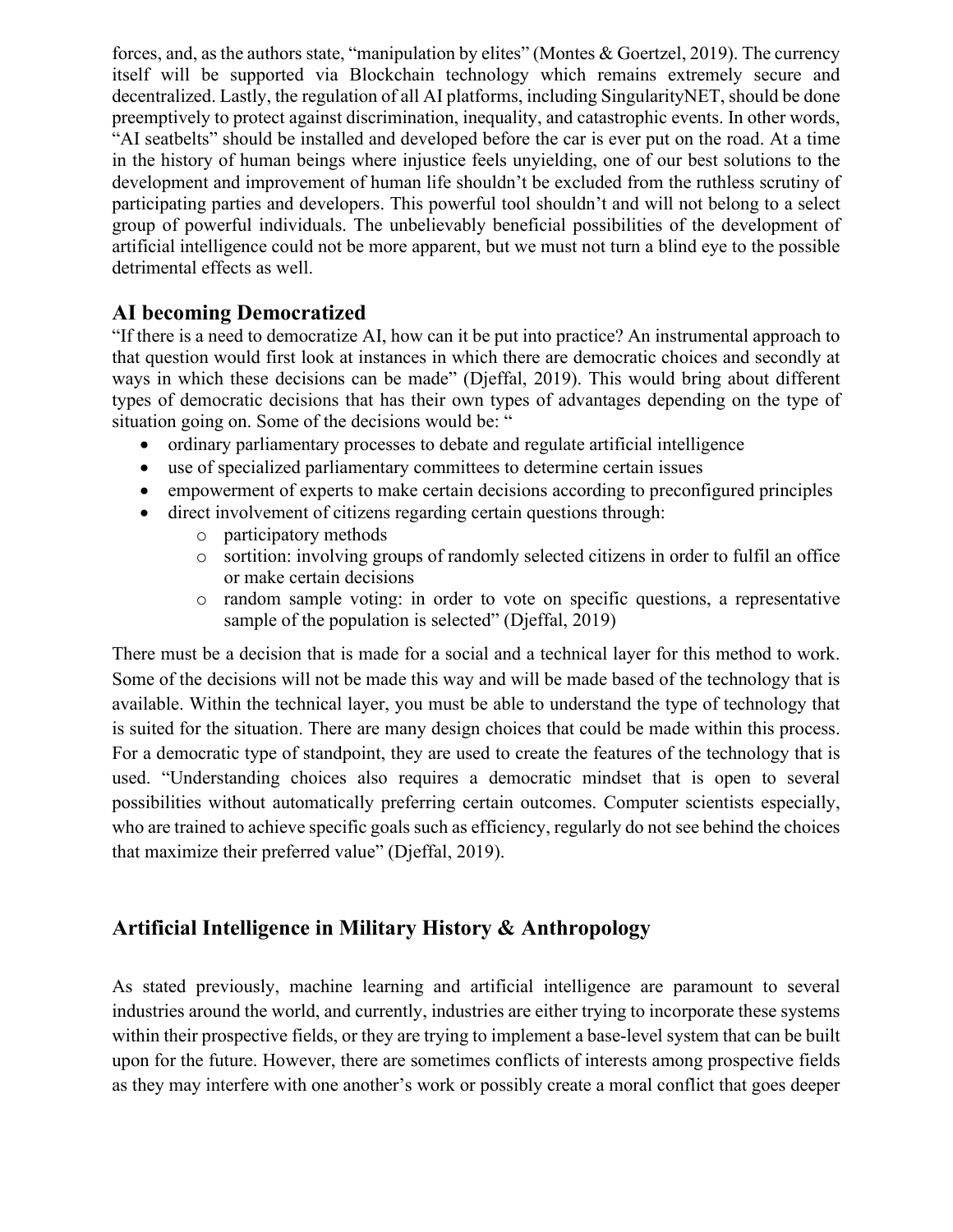forces, and, as the authors state, "manipulation by elites" (Montes & Goertzel, 2019). The currency itself will be supported via Blockchain technology which remains extremely secure and decentralized. Lastly, the regulation of all AI platforms, including SingularityNET, should be done preemptively to protect against discrimination, inequality, and catastrophic events. In other words, "AI seatbelts" should be installed and developed before the car is ever put on the road. At a time in the history of human beings where injustice feels unyielding, one of our best solutions to the development and improvement of human life shouldn't be excluded from the ruthless scrutiny of participating parties and developers. This powerful tool shouldn't and will not belong to a select group of powerful individuals. The unbelievably beneficial possibilities of the development of artificial intelligence could not be more apparent, but we must not turn a blind eye to the possible detrimental effects as well.

#### **AI becoming Democratized**

"If there is a need to democratize AI, how can it be put into practice? An instrumental approach to that question would first look at instances in which there are democratic choices and secondly at ways in which these decisions can be made" (Djeffal, 2019). This would bring about different types of democratic decisions that has their own types of advantages depending on the type of situation going on. Some of the decisions would be: "

- ordinary parliamentary processes to debate and regulate artificial intelligence
- use of specialized parliamentary committees to determine certain issues
- empowerment of experts to make certain decisions according to preconfigured principles
- direct involvement of citizens regarding certain questions through:
	- o participatory methods
	- o sortition: involving groups of randomly selected citizens in order to fulfil an office or make certain decisions
	- o random sample voting: in order to vote on specific questions, a representative sample of the population is selected" (Djeffal, 2019)

There must be a decision that is made for a social and a technical layer for this method to work. Some of the decisions will not be made this way and will be made based of the technology that is available. Within the technical layer, you must be able to understand the type of technology that is suited for the situation. There are many design choices that could be made within this process. For a democratic type of standpoint, they are used to create the features of the technology that is used. "Understanding choices also requires a democratic mindset that is open to several possibilities without automatically preferring certain outcomes. Computer scientists especially, who are trained to achieve specific goals such as efficiency, regularly do not see behind the choices that maximize their preferred value" (Djeffal, 2019).

# **Artificial Intelligence in Military History & Anthropology**

As stated previously, machine learning and artificial intelligence are paramount to several industries around the world, and currently, industries are either trying to incorporate these systems within their prospective fields, or they are trying to implement a base-level system that can be built upon for the future. However, there are sometimes conflicts of interests among prospective fields as they may interfere with one another's work or possibly create a moral conflict that goes deeper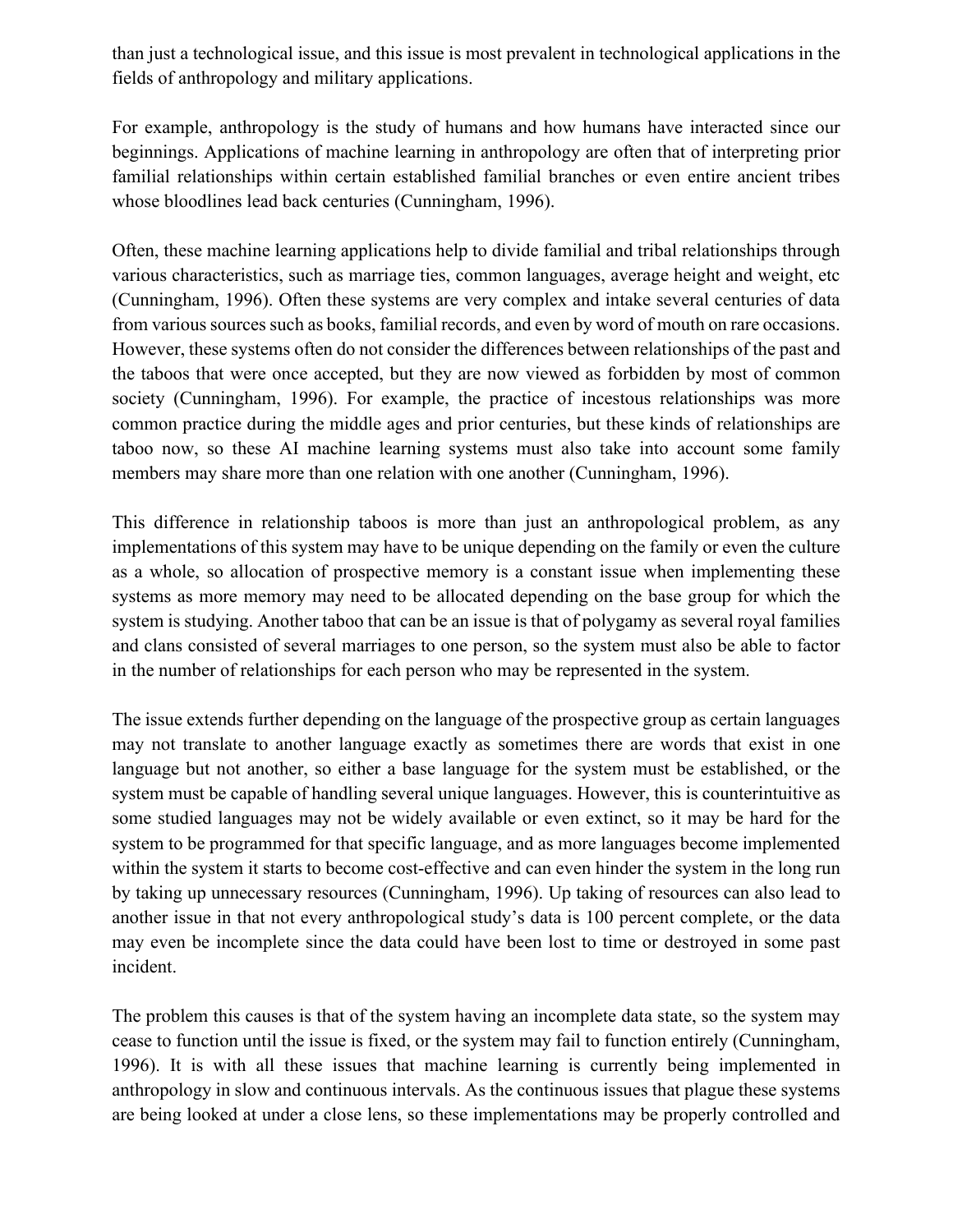than just a technological issue, and this issue is most prevalent in technological applications in the fields of anthropology and military applications.

For example, anthropology is the study of humans and how humans have interacted since our beginnings. Applications of machine learning in anthropology are often that of interpreting prior familial relationships within certain established familial branches or even entire ancient tribes whose bloodlines lead back centuries (Cunningham, 1996).

Often, these machine learning applications help to divide familial and tribal relationships through various characteristics, such as marriage ties, common languages, average height and weight, etc (Cunningham, 1996). Often these systems are very complex and intake several centuries of data from various sources such as books, familial records, and even by word of mouth on rare occasions. However, these systems often do not consider the differences between relationships of the past and the taboos that were once accepted, but they are now viewed as forbidden by most of common society (Cunningham, 1996). For example, the practice of incestous relationships was more common practice during the middle ages and prior centuries, but these kinds of relationships are taboo now, so these AI machine learning systems must also take into account some family members may share more than one relation with one another (Cunningham, 1996).

This difference in relationship taboos is more than just an anthropological problem, as any implementations of this system may have to be unique depending on the family or even the culture as a whole, so allocation of prospective memory is a constant issue when implementing these systems as more memory may need to be allocated depending on the base group for which the system is studying. Another taboo that can be an issue is that of polygamy as several royal families and clans consisted of several marriages to one person, so the system must also be able to factor in the number of relationships for each person who may be represented in the system.

The issue extends further depending on the language of the prospective group as certain languages may not translate to another language exactly as sometimes there are words that exist in one language but not another, so either a base language for the system must be established, or the system must be capable of handling several unique languages. However, this is counterintuitive as some studied languages may not be widely available or even extinct, so it may be hard for the system to be programmed for that specific language, and as more languages become implemented within the system it starts to become cost-effective and can even hinder the system in the long run by taking up unnecessary resources (Cunningham, 1996). Up taking of resources can also lead to another issue in that not every anthropological study's data is 100 percent complete, or the data may even be incomplete since the data could have been lost to time or destroyed in some past incident.

The problem this causes is that of the system having an incomplete data state, so the system may cease to function until the issue is fixed, or the system may fail to function entirely (Cunningham, 1996). It is with all these issues that machine learning is currently being implemented in anthropology in slow and continuous intervals. As the continuous issues that plague these systems are being looked at under a close lens, so these implementations may be properly controlled and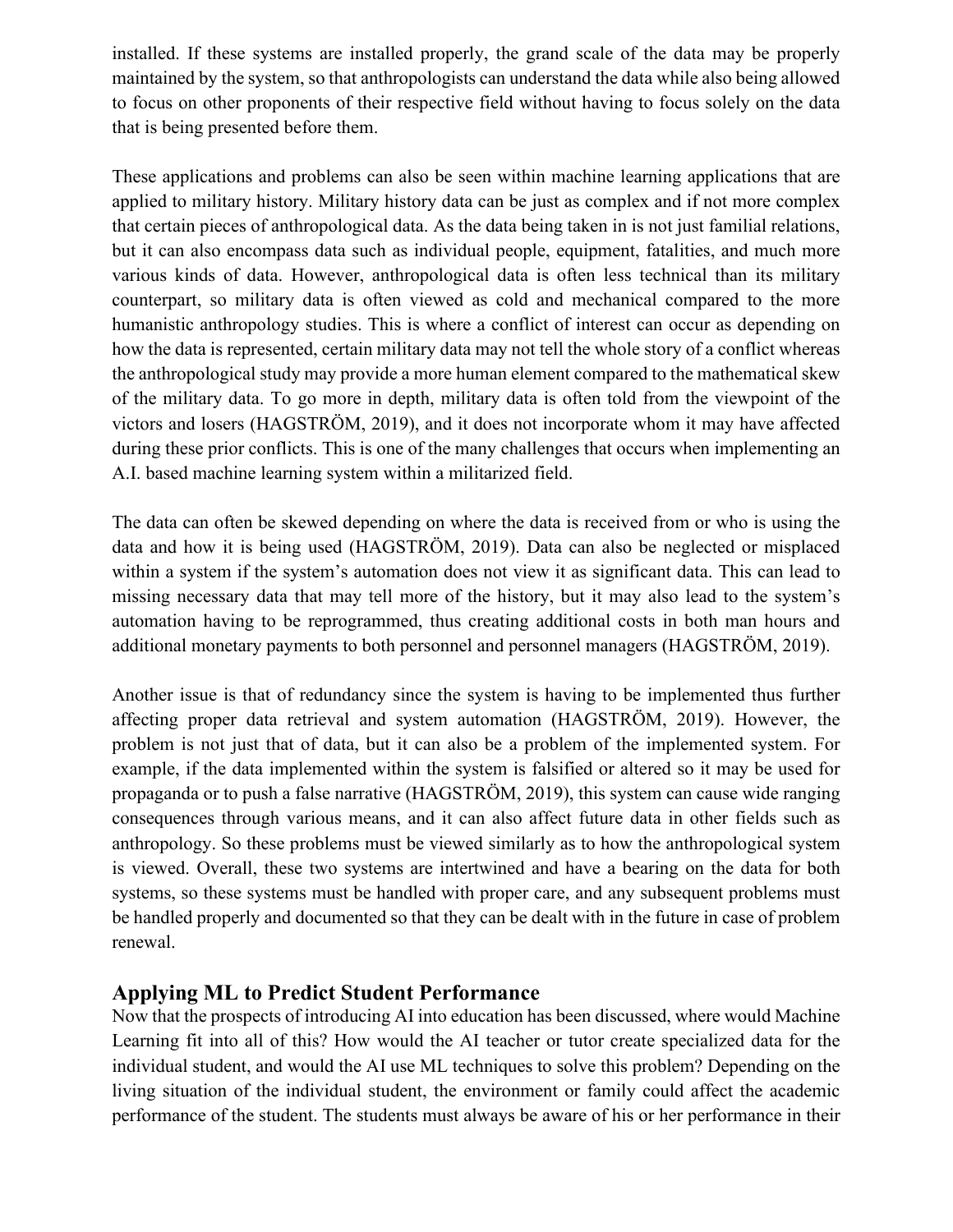installed. If these systems are installed properly, the grand scale of the data may be properly maintained by the system, so that anthropologists can understand the data while also being allowed to focus on other proponents of their respective field without having to focus solely on the data that is being presented before them.

These applications and problems can also be seen within machine learning applications that are applied to military history. Military history data can be just as complex and if not more complex that certain pieces of anthropological data. As the data being taken in is not just familial relations, but it can also encompass data such as individual people, equipment, fatalities, and much more various kinds of data. However, anthropological data is often less technical than its military counterpart, so military data is often viewed as cold and mechanical compared to the more humanistic anthropology studies. This is where a conflict of interest can occur as depending on how the data is represented, certain military data may not tell the whole story of a conflict whereas the anthropological study may provide a more human element compared to the mathematical skew of the military data. To go more in depth, military data is often told from the viewpoint of the victors and losers (HAGSTRÖM, 2019), and it does not incorporate whom it may have affected during these prior conflicts. This is one of the many challenges that occurs when implementing an A.I. based machine learning system within a militarized field.

The data can often be skewed depending on where the data is received from or who is using the data and how it is being used (HAGSTRÖM, 2019). Data can also be neglected or misplaced within a system if the system's automation does not view it as significant data. This can lead to missing necessary data that may tell more of the history, but it may also lead to the system's automation having to be reprogrammed, thus creating additional costs in both man hours and additional monetary payments to both personnel and personnel managers (HAGSTRÖM, 2019).

Another issue is that of redundancy since the system is having to be implemented thus further affecting proper data retrieval and system automation (HAGSTRÖM, 2019). However, the problem is not just that of data, but it can also be a problem of the implemented system. For example, if the data implemented within the system is falsified or altered so it may be used for propaganda or to push a false narrative (HAGSTRÖM, 2019), this system can cause wide ranging consequences through various means, and it can also affect future data in other fields such as anthropology. So these problems must be viewed similarly as to how the anthropological system is viewed. Overall, these two systems are intertwined and have a bearing on the data for both systems, so these systems must be handled with proper care, and any subsequent problems must be handled properly and documented so that they can be dealt with in the future in case of problem renewal.

#### **Applying ML to Predict Student Performance**

Now that the prospects of introducing AI into education has been discussed, where would Machine Learning fit into all of this? How would the AI teacher or tutor create specialized data for the individual student, and would the AI use ML techniques to solve this problem? Depending on the living situation of the individual student, the environment or family could affect the academic performance of the student. The students must always be aware of his or her performance in their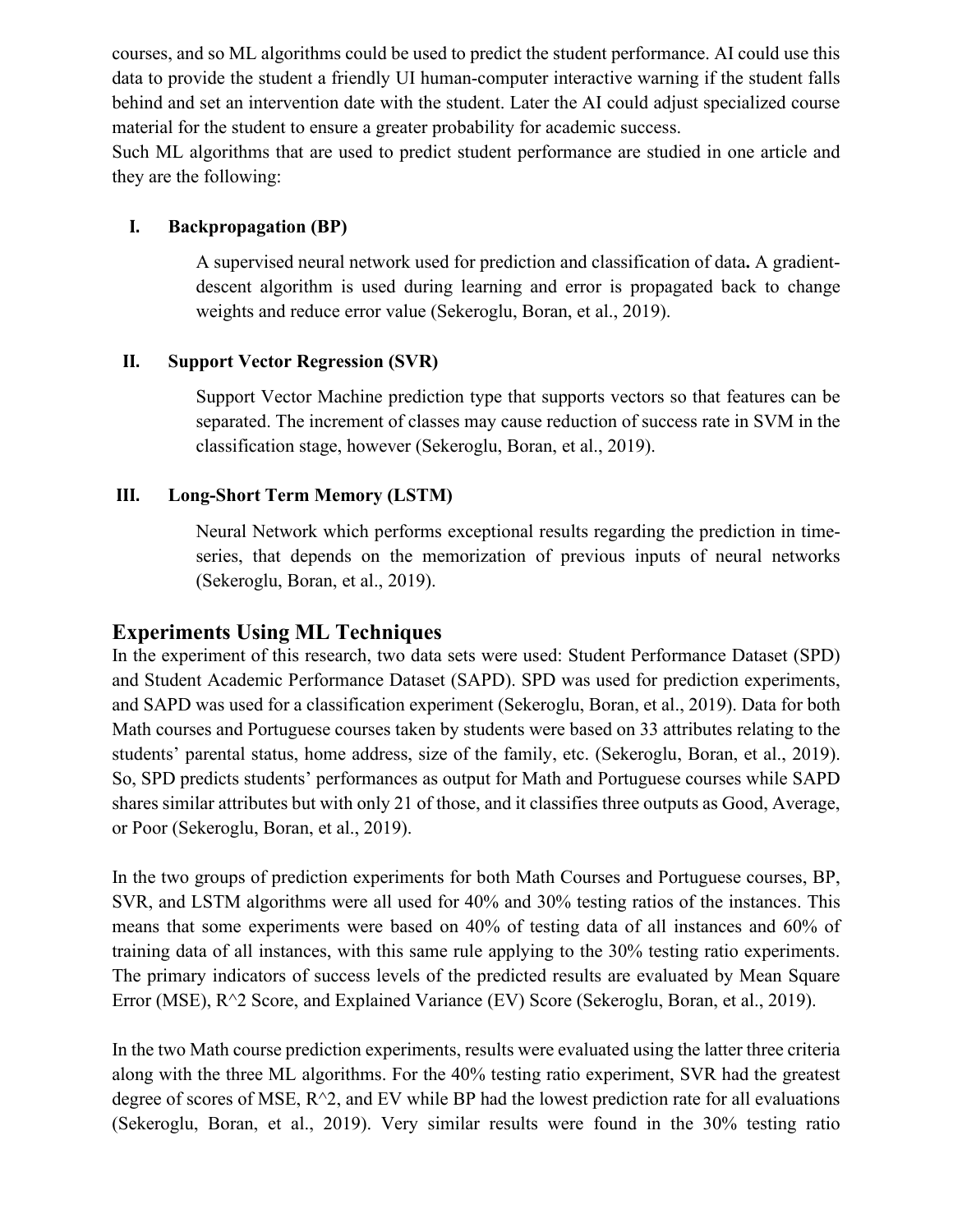courses, and so ML algorithms could be used to predict the student performance. AI could use this data to provide the student a friendly UI human-computer interactive warning if the student falls behind and set an intervention date with the student. Later the AI could adjust specialized course material for the student to ensure a greater probability for academic success.

Such ML algorithms that are used to predict student performance are studied in one article and they are the following:

#### **I. Backpropagation (BP)**

A supervised neural network used for prediction and classification of data**.** A gradientdescent algorithm is used during learning and error is propagated back to change weights and reduce error value (Sekeroglu, Boran, et al., 2019).

#### **II. Support Vector Regression (SVR)**

Support Vector Machine prediction type that supports vectors so that features can be separated. The increment of classes may cause reduction of success rate in SVM in the classification stage, however (Sekeroglu, Boran, et al., 2019).

#### **III. Long-Short Term Memory (LSTM)**

Neural Network which performs exceptional results regarding the prediction in timeseries, that depends on the memorization of previous inputs of neural networks (Sekeroglu, Boran, et al., 2019).

#### **Experiments Using ML Techniques**

In the experiment of this research, two data sets were used: Student Performance Dataset (SPD) and Student Academic Performance Dataset (SAPD). SPD was used for prediction experiments, and SAPD was used for a classification experiment (Sekeroglu, Boran, et al., 2019). Data for both Math courses and Portuguese courses taken by students were based on 33 attributes relating to the students' parental status, home address, size of the family, etc. (Sekeroglu, Boran, et al., 2019). So, SPD predicts students' performances as output for Math and Portuguese courses while SAPD shares similar attributes but with only 21 of those, and it classifies three outputs as Good, Average, or Poor (Sekeroglu, Boran, et al., 2019).

In the two groups of prediction experiments for both Math Courses and Portuguese courses, BP, SVR, and LSTM algorithms were all used for 40% and 30% testing ratios of the instances. This means that some experiments were based on 40% of testing data of all instances and 60% of training data of all instances, with this same rule applying to the 30% testing ratio experiments. The primary indicators of success levels of the predicted results are evaluated by Mean Square Error (MSE), R^2 Score, and Explained Variance (EV) Score (Sekeroglu, Boran, et al., 2019).

In the two Math course prediction experiments, results were evaluated using the latter three criteria along with the three ML algorithms. For the 40% testing ratio experiment, SVR had the greatest degree of scores of MSE,  $R^2$ , and EV while BP had the lowest prediction rate for all evaluations (Sekeroglu, Boran, et al., 2019). Very similar results were found in the 30% testing ratio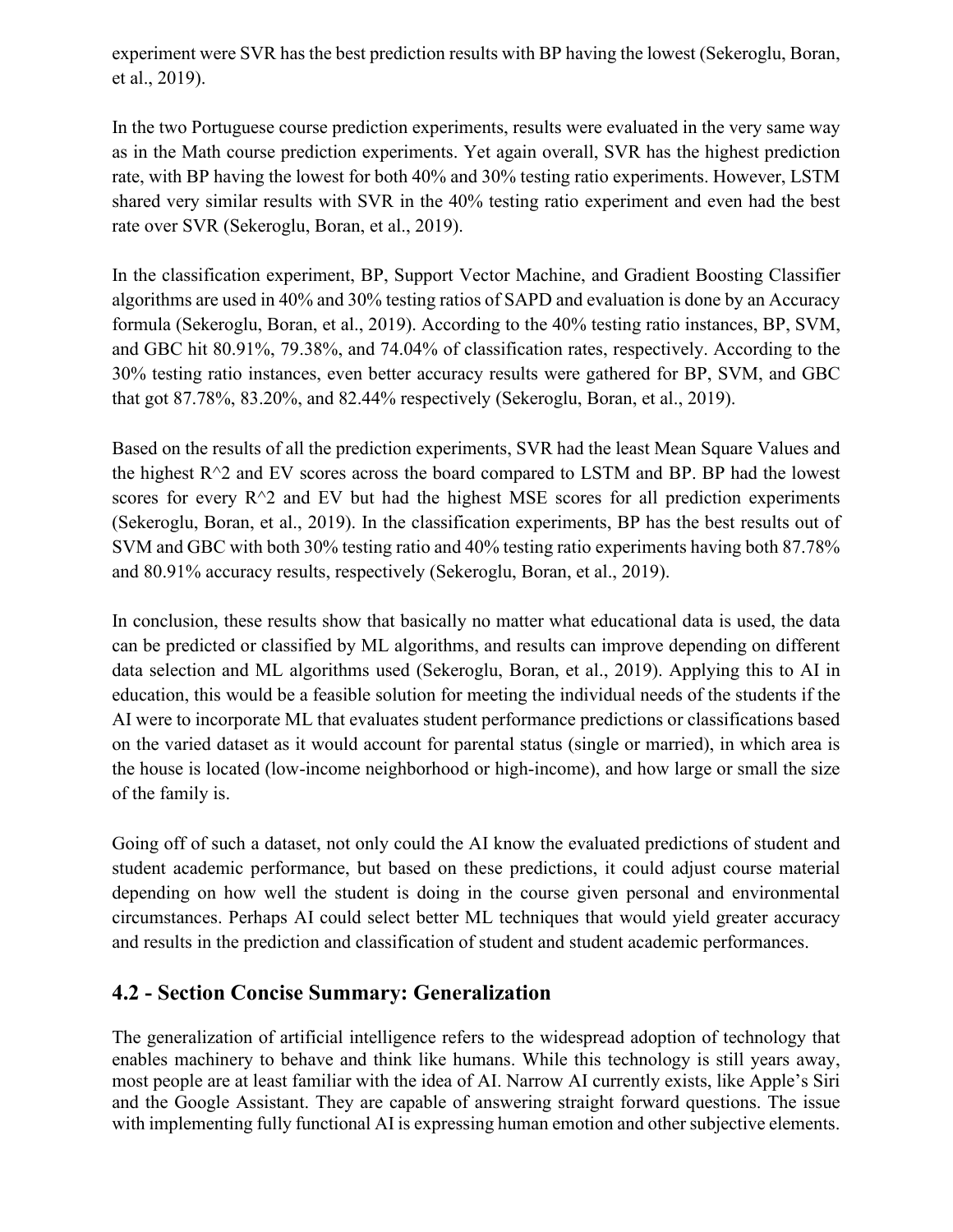experiment were SVR has the best prediction results with BP having the lowest (Sekeroglu, Boran, et al., 2019).

In the two Portuguese course prediction experiments, results were evaluated in the very same way as in the Math course prediction experiments. Yet again overall, SVR has the highest prediction rate, with BP having the lowest for both 40% and 30% testing ratio experiments. However, LSTM shared very similar results with SVR in the 40% testing ratio experiment and even had the best rate over SVR (Sekeroglu, Boran, et al., 2019).

In the classification experiment, BP, Support Vector Machine, and Gradient Boosting Classifier algorithms are used in 40% and 30% testing ratios of SAPD and evaluation is done by an Accuracy formula (Sekeroglu, Boran, et al., 2019). According to the 40% testing ratio instances, BP, SVM, and GBC hit 80.91%, 79.38%, and 74.04% of classification rates, respectively. According to the 30% testing ratio instances, even better accuracy results were gathered for BP, SVM, and GBC that got 87.78%, 83.20%, and 82.44% respectively (Sekeroglu, Boran, et al., 2019).

Based on the results of all the prediction experiments, SVR had the least Mean Square Values and the highest  $R^2$  and EV scores across the board compared to LSTM and BP. BP had the lowest scores for every  $R^2$  and EV but had the highest MSE scores for all prediction experiments (Sekeroglu, Boran, et al., 2019). In the classification experiments, BP has the best results out of SVM and GBC with both 30% testing ratio and 40% testing ratio experiments having both 87.78% and 80.91% accuracy results, respectively (Sekeroglu, Boran, et al., 2019).

In conclusion, these results show that basically no matter what educational data is used, the data can be predicted or classified by ML algorithms, and results can improve depending on different data selection and ML algorithms used (Sekeroglu, Boran, et al., 2019). Applying this to AI in education, this would be a feasible solution for meeting the individual needs of the students if the AI were to incorporate ML that evaluates student performance predictions or classifications based on the varied dataset as it would account for parental status (single or married), in which area is the house is located (low-income neighborhood or high-income), and how large or small the size of the family is.

Going off of such a dataset, not only could the AI know the evaluated predictions of student and student academic performance, but based on these predictions, it could adjust course material depending on how well the student is doing in the course given personal and environmental circumstances. Perhaps AI could select better ML techniques that would yield greater accuracy and results in the prediction and classification of student and student academic performances.

#### **4.2 - Section Concise Summary: Generalization**

The generalization of artificial intelligence refers to the widespread adoption of technology that enables machinery to behave and think like humans. While this technology is still years away, most people are at least familiar with the idea of AI. Narrow AI currently exists, like Apple's Siri and the Google Assistant. They are capable of answering straight forward questions. The issue with implementing fully functional AI is expressing human emotion and other subjective elements.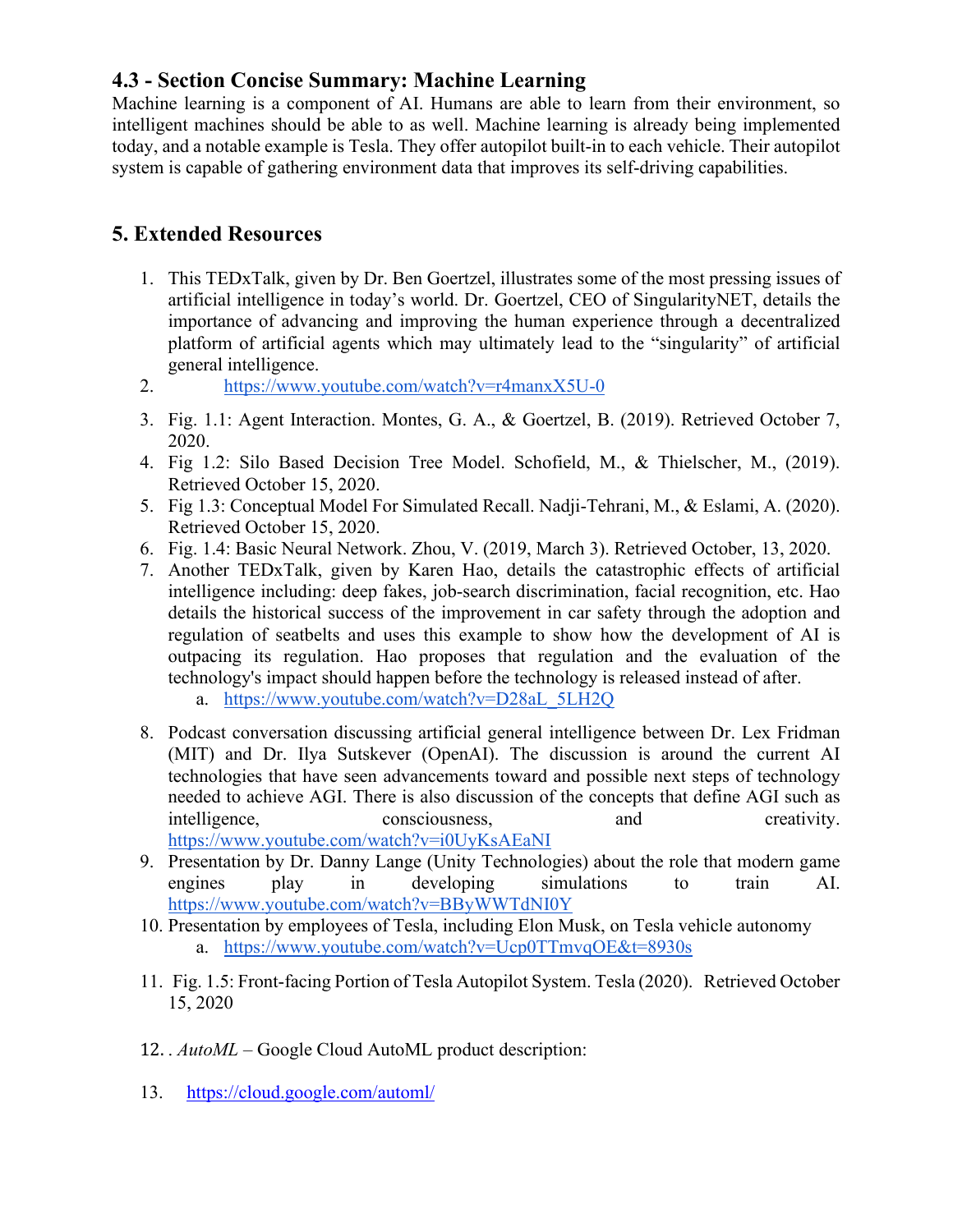# **4.3 - Section Concise Summary: Machine Learning**

Machine learning is a component of AI. Humans are able to learn from their environment, so intelligent machines should be able to as well. Machine learning is already being implemented today, and a notable example is Tesla. They offer autopilot built-in to each vehicle. Their autopilot system is capable of gathering environment data that improves its self-driving capabilities.

# **5. Extended Resources**

- 1. This TEDxTalk, given by Dr. Ben Goertzel, illustrates some of the most pressing issues of artificial intelligence in today's world. Dr. Goertzel, CEO of SingularityNET, details the importance of advancing and improving the human experience through a decentralized platform of artificial agents which may ultimately lead to the "singularity" of artificial general intelligence.
- 2. <https://www.youtube.com/watch?v=r4manxX5U-0>
- 3. Fig. 1.1: Agent Interaction. Montes, G. A., & Goertzel, B. (2019). Retrieved October 7, 2020.
- 4. Fig 1.2: Silo Based Decision Tree Model. Schofield, M., & Thielscher, M., (2019). Retrieved October 15, 2020.
- 5. Fig 1.3: Conceptual Model For Simulated Recall. Nadji-Tehrani, M., & Eslami, A. (2020). Retrieved October 15, 2020.
- 6. Fig. 1.4: Basic Neural Network. Zhou, V. (2019, March 3). Retrieved October, 13, 2020.
- 7. Another TEDxTalk, given by Karen Hao, details the catastrophic effects of artificial intelligence including: deep fakes, job-search discrimination, facial recognition, etc. Hao details the historical success of the improvement in car safety through the adoption and regulation of seatbelts and uses this example to show how the development of AI is outpacing its regulation. Hao proposes that regulation and the evaluation of the technology's impact should happen before the technology is released instead of after.
	- a. [https://www.youtube.com/watch?v=D28aL\\_5LH2Q](https://www.youtube.com/watch?v=D28aL_5LH2Q)
- 8. Podcast conversation discussing artificial general intelligence between Dr. Lex Fridman (MIT) and Dr. Ilya Sutskever (OpenAI). The discussion is around the current AI technologies that have seen advancements toward and possible next steps of technology needed to achieve AGI. There is also discussion of the concepts that define AGI such as intelligence, consciousness, and creativity. <https://www.youtube.com/watch?v=i0UyKsAEaNI>
- 9. Presentation by Dr. Danny Lange (Unity Technologies) about the role that modern game engines play in developing simulations to train AI. <https://www.youtube.com/watch?v=BByWWTdNI0Y>
- 10. Presentation by employees of Tesla, including Elon Musk, on Tesla vehicle autonomy a. <https://www.youtube.com/watch?v=Ucp0TTmvqOE&t=8930s>
- 11. Fig. 1.5: Front-facing Portion of Tesla Autopilot System. Tesla (2020). Retrieved October 15, 2020
- 12. . *AutoML –* Google Cloud AutoML product description:
- 13. <https://cloud.google.com/automl/>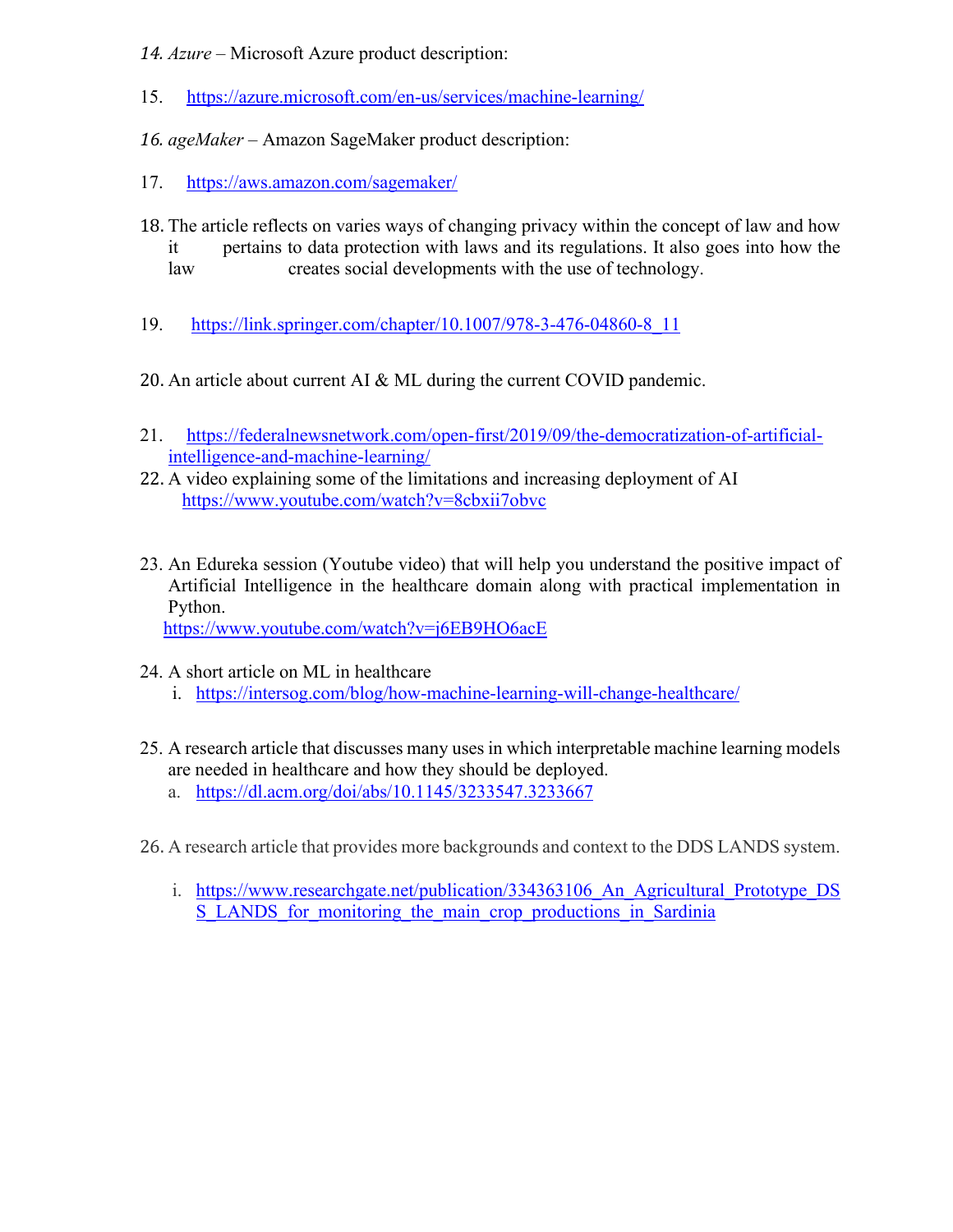*14. Azure –* Microsoft Azure product description:

- 15. <https://azure.microsoft.com/en-us/services/machine-learning/>
- *16. ageMaker –* Amazon SageMaker product description:
- 17. <https://aws.amazon.com/sagemaker/>
- 18. The article reflects on varies ways of changing privacy within the concept of law and how<br>it pertains to data protection with laws and its regulations. It also goes into how the pertains to data protection with laws and its regulations. It also goes into how the law creates social developments with the use of technology.
- 19. [https://link.springer.com/chapter/10.1007/978-3-476-04860-8\\_11](https://link.springer.com/chapter/10.1007/978-3-476-04860-8_11)
- 20. An article about current AI & ML during the current COVID pandemic.
- 21. [https://federalnewsnetwork.com/open-first/2019/09/the-democratization-of-artificial](https://federalnewsnetwork.com/open-first/2019/09/the-democratization-of-artificial-intelligence-and-machine-learning/)[intelligence-and-machine-learning/](https://federalnewsnetwork.com/open-first/2019/09/the-democratization-of-artificial-intelligence-and-machine-learning/)
- 22. A video explaining some of the limitations and increasing deployment of AI <https://www.youtube.com/watch?v=8cbxii7obvc>
- 23. An Edureka session (Youtube video) that will help you understand the positive impact of Artificial Intelligence in the healthcare domain along with practical implementation in Python.

<https://www.youtube.com/watch?v=j6EB9HO6acE>

- 24. A short article on ML in healthcare
	- i. <https://intersog.com/blog/how-machine-learning-will-change-healthcare/>
- 25. A research article that discusses many uses in which interpretable machine learning models are needed in healthcare and how they should be deployed.
	- a. <https://dl.acm.org/doi/abs/10.1145/3233547.3233667>
- 26. A research article that provides more backgrounds and context to the DDS LANDS system.
	- i. https://www.researchgate.net/publication/334363106 An Agricultural Prototype DS [S\\_LANDS\\_for\\_monitoring\\_the\\_main\\_crop\\_productions\\_in\\_Sardinia](https://www.researchgate.net/publication/334363106_An_Agricultural_Prototype_DSS_LANDS_for_monitoring_the_main_crop_productions_in_Sardinia)